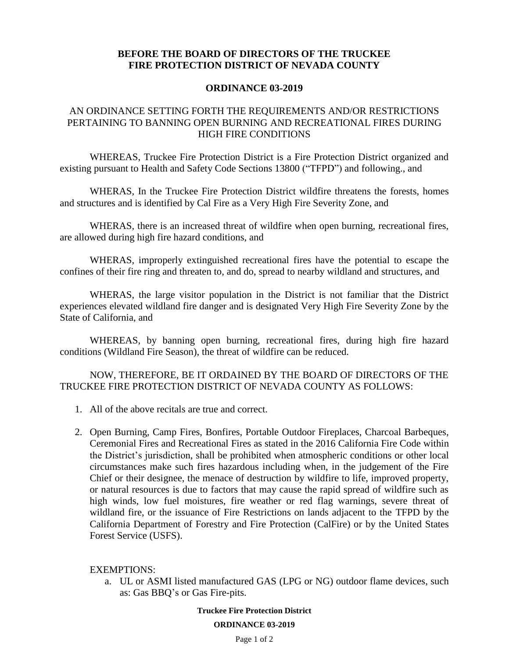## **BEFORE THE BOARD OF DIRECTORS OF THE TRUCKEE FIRE PROTECTION DISTRICT OF NEVADA COUNTY**

## **ORDINANCE 03-2019**

## AN ORDINANCE SETTING FORTH THE REQUIREMENTS AND/OR RESTRICTIONS PERTAINING TO BANNING OPEN BURNING AND RECREATIONAL FIRES DURING HIGH FIRE CONDITIONS

WHEREAS, Truckee Fire Protection District is a Fire Protection District organized and existing pursuant to Health and Safety Code Sections 13800 ("TFPD") and following., and

WHERAS, In the Truckee Fire Protection District wildfire threatens the forests, homes and structures and is identified by Cal Fire as a Very High Fire Severity Zone, and

WHERAS, there is an increased threat of wildfire when open burning, recreational fires, are allowed during high fire hazard conditions, and

WHERAS, improperly extinguished recreational fires have the potential to escape the confines of their fire ring and threaten to, and do, spread to nearby wildland and structures, and

WHERAS, the large visitor population in the District is not familiar that the District experiences elevated wildland fire danger and is designated Very High Fire Severity Zone by the State of California, and

WHEREAS, by banning open burning, recreational fires, during high fire hazard conditions (Wildland Fire Season), the threat of wildfire can be reduced.

NOW, THEREFORE, BE IT ORDAINED BY THE BOARD OF DIRECTORS OF THE TRUCKEE FIRE PROTECTION DISTRICT OF NEVADA COUNTY AS FOLLOWS:

- 1. All of the above recitals are true and correct.
- 2. Open Burning, Camp Fires, Bonfires, Portable Outdoor Fireplaces, Charcoal Barbeques, Ceremonial Fires and Recreational Fires as stated in the 2016 California Fire Code within the District's jurisdiction, shall be prohibited when atmospheric conditions or other local circumstances make such fires hazardous including when, in the judgement of the Fire Chief or their designee, the menace of destruction by wildfire to life, improved property, or natural resources is due to factors that may cause the rapid spread of wildfire such as high winds, low fuel moistures, fire weather or red flag warnings, severe threat of wildland fire, or the issuance of Fire Restrictions on lands adjacent to the TFPD by the California Department of Forestry and Fire Protection (CalFire) or by the United States Forest Service (USFS).

EXEMPTIONS:

a. UL or ASMI listed manufactured GAS (LPG or NG) outdoor flame devices, such as: Gas BBQ's or Gas Fire-pits.

> **Truckee Fire Protection District ORDINANCE 03-2019**

> > Page 1 of 2